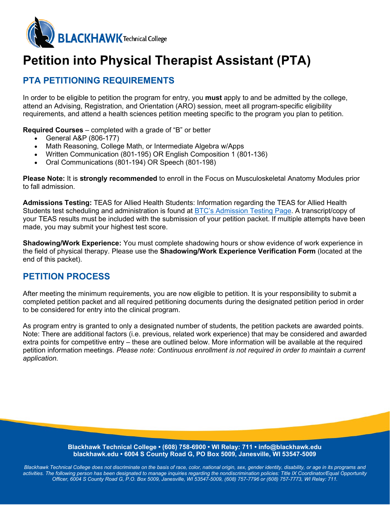

# **Petition into Physical Therapist Assistant (PTA)**

## **PTA PETITIONING REQUIREMENTS**

In order to be eligible to petition the program for entry, you **must** apply to and be admitted by the college, attend an Advising, Registration, and Orientation (ARO) session, meet all program-specific eligibility requirements, and attend a health sciences petition meeting specific to the program you plan to petition.

**Required Courses** – completed with a grade of "B" or better

- General A&P (806-177)
- Math Reasoning, College Math, or Intermediate Algebra w/Apps
- Written Communication (801-195) OR English Composition 1 (801-136)
- Oral Communications (801-194) OR Speech (801-198)

**Please Note:** It is **strongly recommended** to enroll in the Focus on Musculoskeletal Anatomy Modules prior to fall admission.

**Admissions Testing:** TEAS for Allied Health Students: Information regarding the TEAS for Allied Health Students test scheduling and administration is found at [BTC's Admission Testing Page.](https://blackhawk.edu/Admissions/After-Youre-Accepted/Placement-Testing) A transcript/copy of your TEAS results must be included with the submission of your petition packet. If multiple attempts have been made, you may submit your highest test score.

**Shadowing/Work Experience:** You must complete shadowing hours or show evidence of work experience in the field of physical therapy. Please use the **Shadowing/Work Experience Verification Form** (located at the end of this packet).

## **PETITION PROCESS**

After meeting the minimum requirements, you are now eligible to petition. It is your responsibility to submit a completed petition packet and all required petitioning documents during the designated petition period in order to be considered for entry into the clinical program.

As program entry is granted to only a designated number of students, the petition packets are awarded points. Note: There are additional factors (i.e. previous, related work experience) that may be considered and awarded extra points for competitive entry – these are outlined below. More information will be available at the required petition information meetings. *Please note: Continuous enrollment is not required in order to maintain a current application.*

> **Blackhawk Technical College • (608) 758-6900 • WI Relay: 711 • info@blackhawk.edu blackhawk.edu • 6004 S County Road G, PO Box 5009, Janesville, WI 53547-5009**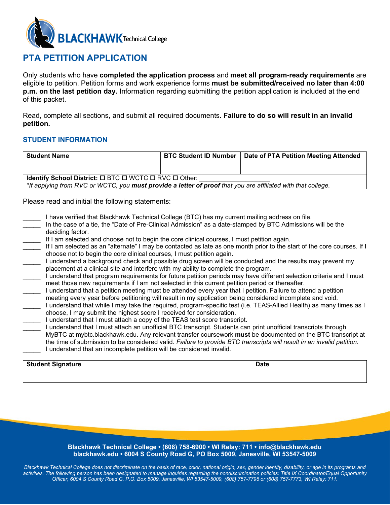

### **PTA PETITION APPLICATION**

Only students who have **completed the application process** and **meet all program-ready requirements** are eligible to petition. Petition forms and work experience forms **must be submitted/received no later than 4:00 p.m. on the last petition day.** Information regarding submitting the petition application is included at the end of this packet.

Read, complete all sections, and submit all required documents. **Failure to do so will result in an invalid petition.**

#### **STUDENT INFORMATION**

| <b>Student Name</b>                                                                                                 |  | BTC Student ID Number   Date of PTA Petition Meeting Attended |  |
|---------------------------------------------------------------------------------------------------------------------|--|---------------------------------------------------------------|--|
|                                                                                                                     |  |                                                               |  |
|                                                                                                                     |  |                                                               |  |
| <b>Identify School District:</b> $\square$ BTC $\square$ WCTC $\square$ RVC $\square$ Other:                        |  |                                                               |  |
| *If applying from RVC or WCTC, you <b>must provide a letter of proof</b> that you are affiliated with that college. |  |                                                               |  |

Please read and initial the following statements:

- I have verified that Blackhawk Technical College (BTC) has my current mailing address on file.
	- In the case of a tie, the "Date of Pre-Clinical Admission" as a date-stamped by BTC Admissions will be the deciding factor.
- If I am selected and choose not to begin the core clinical courses, I must petition again.
- If I am selected as an "alternate" I may be contacted as late as one month prior to the start of the core courses. If I choose not to begin the core clinical courses, I must petition again.
- I understand a background check and possible drug screen will be conducted and the results may prevent my placement at a clinical site and interfere with my ability to complete the program.
- \_\_\_\_\_ I understand that program requirements for future petition periods may have different selection criteria and I must meet those new requirements if I am not selected in this current petition period or thereafter.
- \_\_\_\_\_ I understand that a petition meeting must be attended every year that I petition. Failure to attend a petition meeting every year before petitioning will result in my application being considered incomplete and void.
	- I understand that while I may take the required, program-specific test (i.e. TEAS-Allied Health) as many times as I choose, I may submit the highest score I received for consideration.
	- I understand that I must attach a copy of the TEAS test score transcript.
	- I understand that I must attach an unofficial BTC transcript. Students can print unofficial transcripts through MyBTC at mybtc.blackhawk.edu. Any relevant transfer coursework **must** be documented on the BTC transcript at the time of submission to be considered valid. *Failure to provide BTC transcripts will result in an invalid petition.* I understand that an incomplete petition will be considered invalid.

| Student Signature | <b>Date</b> |
|-------------------|-------------|
|                   |             |

#### **Blackhawk Technical College • (608) 758-6900 • WI Relay: 711 • info@blackhawk.edu blackhawk.edu • 6004 S County Road G, PO Box 5009, Janesville, WI 53547-5009**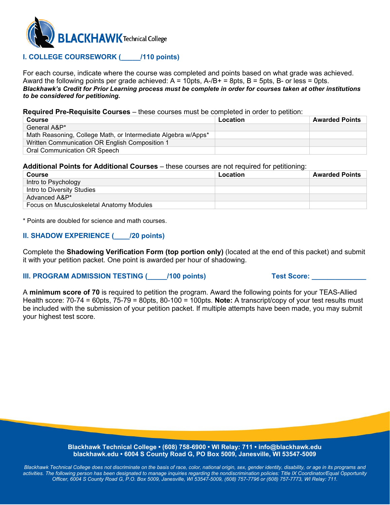

#### **I. COLLEGE COURSEWORK (\_\_\_\_\_/110 points)**

For each course, indicate where the course was completed and points based on what grade was achieved. Award the following points per grade achieved:  $A = 10$ pts,  $A - B + B = 8$ pts,  $B = 5$ pts,  $B -$ or less = 0pts. *Blackhawk's Credit for Prior Learning process must be complete in order for courses taken at other institutions to be considered for petitioning.*

**Required Pre-Requisite Courses** – these courses must be completed in order to petition:

| Course                                                        | Location | <b>Awarded Points</b> |
|---------------------------------------------------------------|----------|-----------------------|
| General A&P*                                                  |          |                       |
| Math Reasoning, College Math, or Intermediate Algebra w/Apps* |          |                       |
| Written Communication OR English Composition 1                |          |                       |
| Oral Communication OR Speech                                  |          |                       |

#### **Additional Points for Additional Courses** – these courses are not required for petitioning:

| Course                                   | Location | <b>Awarded Points</b> |
|------------------------------------------|----------|-----------------------|
| Intro to Psychology                      |          |                       |
| Intro to Diversity Studies               |          |                       |
| Advanced A&P*                            |          |                       |
| Focus on Musculoskeletal Anatomy Modules |          |                       |

\* Points are doubled for science and math courses.

#### **II. SHADOW EXPERIENCE (\_\_\_\_/20 points)**

Complete the **Shadowing Verification Form (top portion only)** (located at the end of this packet) and submit it with your petition packet. One point is awarded per hour of shadowing.

#### **III. PROGRAM ADMISSION TESTING (COMPLETER) Test Score: COMPLETER SCORE:**

A **minimum score of 70** is required to petition the program. Award the following points for your TEAS-Allied Health score: 70-74 = 60pts, 75-79 = 80pts, 80-100 = 100pts. **Note:** A transcript/copy of your test results must be included with the submission of your petition packet. If multiple attempts have been made, you may submit your highest test score.

> **Blackhawk Technical College • (608) 758-6900 • WI Relay: 711 • info@blackhawk.edu blackhawk.edu • 6004 S County Road G, PO Box 5009, Janesville, WI 53547-5009**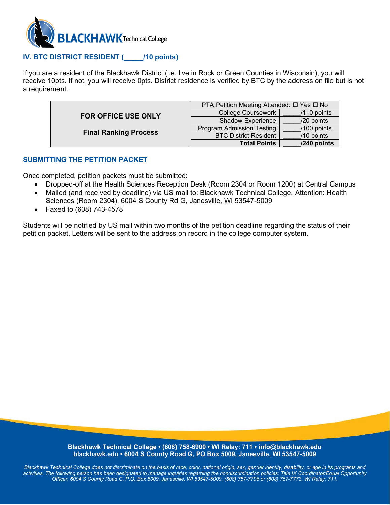

#### **IV. BTC DISTRICT RESIDENT (\_\_\_\_\_/10 points)**

If you are a resident of the Blackhawk District (i.e. live in Rock or Green Counties in Wisconsin), you will receive 10pts. If not, you will receive 0pts. District residence is verified by BTC by the address on file but is not a requirement.

|                                                            | PTA Petition Meeting Attended: □ Yes □ No |               |  |
|------------------------------------------------------------|-------------------------------------------|---------------|--|
| <b>FOR OFFICE USE ONLY</b><br><b>Final Ranking Process</b> | <b>College Coursework</b>                 | /110 points   |  |
|                                                            | <b>Shadow Experience</b>                  | /20 points    |  |
|                                                            | <b>Program Admission Testing</b>          | $/100$ points |  |
|                                                            | <b>BTC District Resident</b>              | /10 points    |  |
|                                                            | <b>Total Points</b>                       | /240 points   |  |

#### **SUBMITTING THE PETITION PACKET**

Once completed, petition packets must be submitted:

- Dropped-off at the Health Sciences Reception Desk (Room 2304 or Room 1200) at Central Campus
- Mailed (and received by deadline) via US mail to: Blackhawk Technical College, Attention: Health Sciences (Room 2304), 6004 S County Rd G, Janesville, WI 53547-5009
- Faxed to (608) 743-4578

Students will be notified by US mail within two months of the petition deadline regarding the status of their petition packet. Letters will be sent to the address on record in the college computer system.

#### **Blackhawk Technical College • (608) 758-6900 • WI Relay: 711 • info@blackhawk.edu blackhawk.edu • 6004 S County Road G, PO Box 5009, Janesville, WI 53547-5009**